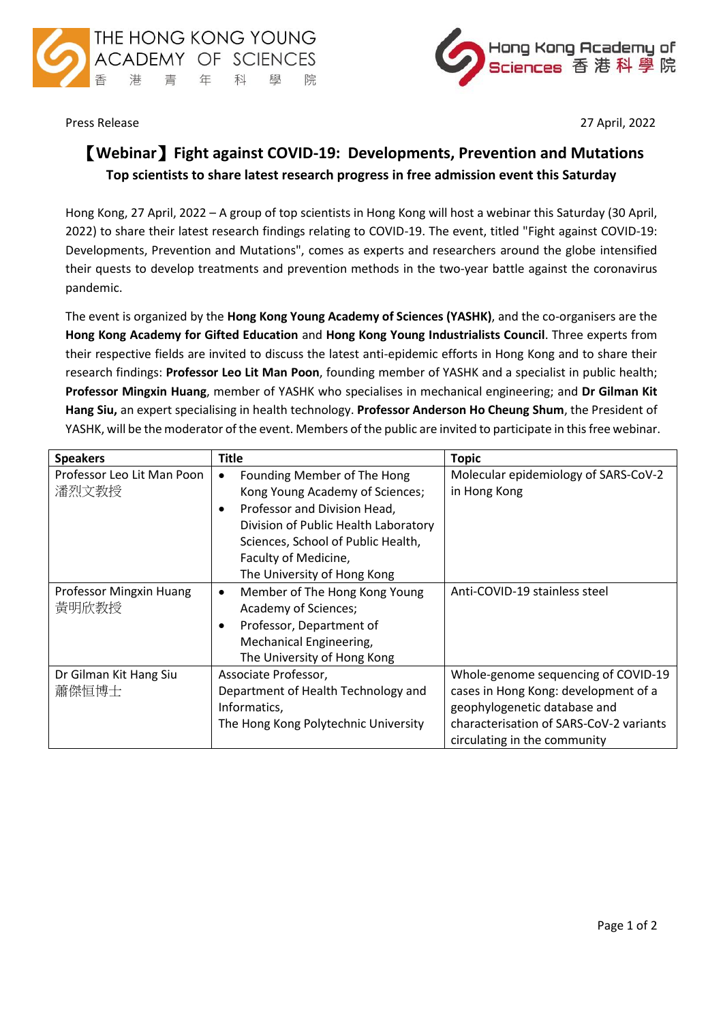



Press Release 27 April, 2022

## 【**Webinar**】**Fight against COVID-19: Developments, Prevention and Mutations Top scientists to share latest research progress in free admission event this Saturday**

Hong Kong, 27 April, 2022 – A group of top scientists in Hong Kong will host a webinar this Saturday (30 April, 2022) to share their latest research findings relating to COVID-19. The event, titled "Fight against COVID-19: Developments, Prevention and Mutations", comes as experts and researchers around the globe intensified their quests to develop treatments and prevention methods in the two-year battle against the coronavirus pandemic.

The event is organized by the **Hong Kong Young Academy of Sciences (YASHK)**, and the co-organisers are the **Hong Kong Academy for Gifted Education** and **Hong Kong Young Industrialists Council**. Three experts from their respective fields are invited to discuss the latest anti-epidemic efforts in Hong Kong and to share their research findings: **Professor Leo Lit Man Poon**, founding member of YASHK and a specialist in public health; **Professor Mingxin Huang**, member of YASHK who specialises in mechanical engineering; and **Dr Gilman Kit Hang Siu,** an expert specialising in health technology. **Professor Anderson Ho Cheung Shum**, the President of YASHK, will be the moderator of the event. Members of the public are invited to participate in this free webinar.

| <b>Speakers</b>                     | <b>Title</b>                                                                                                                                                                                                                                                  | <b>Topic</b>                                                                                                                                                                           |
|-------------------------------------|---------------------------------------------------------------------------------------------------------------------------------------------------------------------------------------------------------------------------------------------------------------|----------------------------------------------------------------------------------------------------------------------------------------------------------------------------------------|
| Professor Leo Lit Man Poon<br>潘烈文教授 | Founding Member of The Hong<br>$\bullet$<br>Kong Young Academy of Sciences;<br>Professor and Division Head,<br>$\bullet$<br>Division of Public Health Laboratory<br>Sciences, School of Public Health,<br>Faculty of Medicine,<br>The University of Hong Kong | Molecular epidemiology of SARS-CoV-2<br>in Hong Kong                                                                                                                                   |
| Professor Mingxin Huang<br>黃明欣教授    | Member of The Hong Kong Young<br>$\bullet$<br>Academy of Sciences;<br>Professor, Department of<br>$\bullet$<br>Mechanical Engineering,<br>The University of Hong Kong                                                                                         | Anti-COVID-19 stainless steel                                                                                                                                                          |
| Dr Gilman Kit Hang Siu<br>蕭傑恒博士     | Associate Professor,<br>Department of Health Technology and<br>Informatics,<br>The Hong Kong Polytechnic University                                                                                                                                           | Whole-genome sequencing of COVID-19<br>cases in Hong Kong: development of a<br>geophylogenetic database and<br>characterisation of SARS-CoV-2 variants<br>circulating in the community |